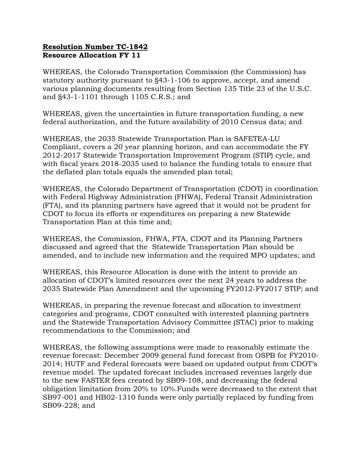## Resolution Number TC-1842 Resource Allocation FY 11

WHEREAS, the Colorado Transportation Commission (the Commission) has statutory authority pursuant to §43-1-106 to approve, accept, and amend various planning documents resulting from Section 135 Title 23 of the U.S.C. and §43-1-1101 through 1105 C.R.S.; and

WHEREAS, given the uncertainties in future transportation funding, a new federal authorization, and the future availability of 2010 Census data; and

WHEREAS, the 2035 Statewide Transportation Plan is SAFETEA-LU Compliant, covers a 20 year planning horizon, and can accommodate the FY 2012-2017 Statewide Transportation Improvement Program (STIP) cycle, and with fiscal years 2018-2035 used to balance the funding totals to ensure that the deflated plan totals equals the amended plan total;

WHEREAS, the Colorado Department of Transportation (CDOT) in coordination with Federal Highway Administration (FHWA), Federal Transit Administration (FTA), and its planning partners have agreed that it would not be prudent for CDOT to focus its efforts or expenditures on preparing a new Statewide Transportation Plan at this time and;

WHEREAS, the Commission, FHWA, FTA, CDOT and its Planning Partners discussed and agreed that the Statewide Transportation Plan should be amended, and to include new information and the required MPO updates; and

WHEREAS, this Resource Allocation is done with the intent to provide an allocation of CDOT's limited resources over the next 24 years to address the 2035 Statewide Plan Amendment and the upcoming FY2012-FY2017 STIP; and

WHEREAS, in preparing the revenue forecast and allocation to investment categories and programs, CDOT consulted with interested planning partners and the Statewide Transportation Advisory Committee (STAC) prior to making recommendations to the Commission; and

WHEREAS, the following assumptions were made to reasonably estimate the revenue forecast: December 2009 general fund forecast from OSPB for FY2010- 2014; HUTF and Federal forecasts were based on updated output from CDOT's revenue model. The updated forecast includes increased revenues largely due to the new FASTER fees created by SB09-108, and decreasing the federal obligation limitation from 20% to 10%.Funds were decreased to the extent that SB97-001 and HB02-1310 funds were only partially replaced by funding from SB09-228; and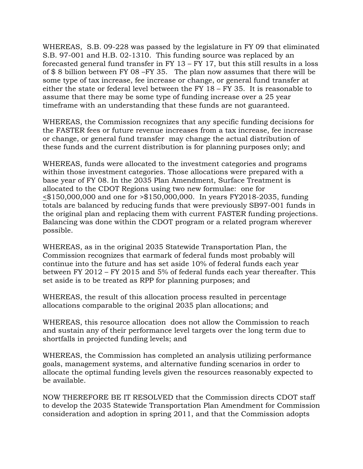WHEREAS, S.B. 09-228 was passed by the legislature in FY 09 that eliminated S.B. 97-001 and H.B. 02-1310. This funding source was replaced by an forecasted general fund transfer in FY 13 – FY 17, but this still results in a loss of \$ 8 billion between FY 08 –FY 35. The plan now assumes that there will be some type of tax increase, fee increase or change, or general fund transfer at either the state or federal level between the FY 18 – FY 35. It is reasonable to assume that there may be some type of funding increase over a 25 year timeframe with an understanding that these funds are not guaranteed.

WHEREAS, the Commission recognizes that any specific funding decisions for the FASTER fees or future revenue increases from a tax increase, fee increase or change, or general fund transfer may change the actual distribution of these funds and the current distribution is for planning purposes only; and

WHEREAS, funds were allocated to the investment categories and programs within those investment categories. Those allocations were prepared with a base year of FY 08. In the 2035 Plan Amendment, Surface Treatment is allocated to the CDOT Regions using two new formulae: one for <\$150,000,000 and one for >\$150,000,000. In years FY2018-2035, funding totals are balanced by reducing funds that were previously SB97-001 funds in the original plan and replacing them with current FASTER funding projections. Balancing was done within the CDOT program or a related program wherever possible.

WHEREAS, as in the original 2035 Statewide Transportation Plan, the Commission recognizes that earmark of federal funds most probably will continue into the future and has set aside 10% of federal funds each year between FY 2012 – FY 2015 and 5% of federal funds each year thereafter. This set aside is to be treated as RPP for planning purposes; and

WHEREAS, the result of this allocation process resulted in percentage allocations comparable to the original 2035 plan allocations; and

WHEREAS, this resource allocation does not allow the Commission to reach and sustain any of their performance level targets over the long term due to shortfalls in projected funding levels; and

WHEREAS, the Commission has completed an analysis utilizing performance goals, management systems, and alternative funding scenarios in order to allocate the optimal funding levels given the resources reasonably expected to be available.

NOW THEREFORE BE IT RESOLVED that the Commission directs CDOT staff to develop the 2035 Statewide Transportation Plan Amendment for Commission consideration and adoption in spring 2011, and that the Commission adopts